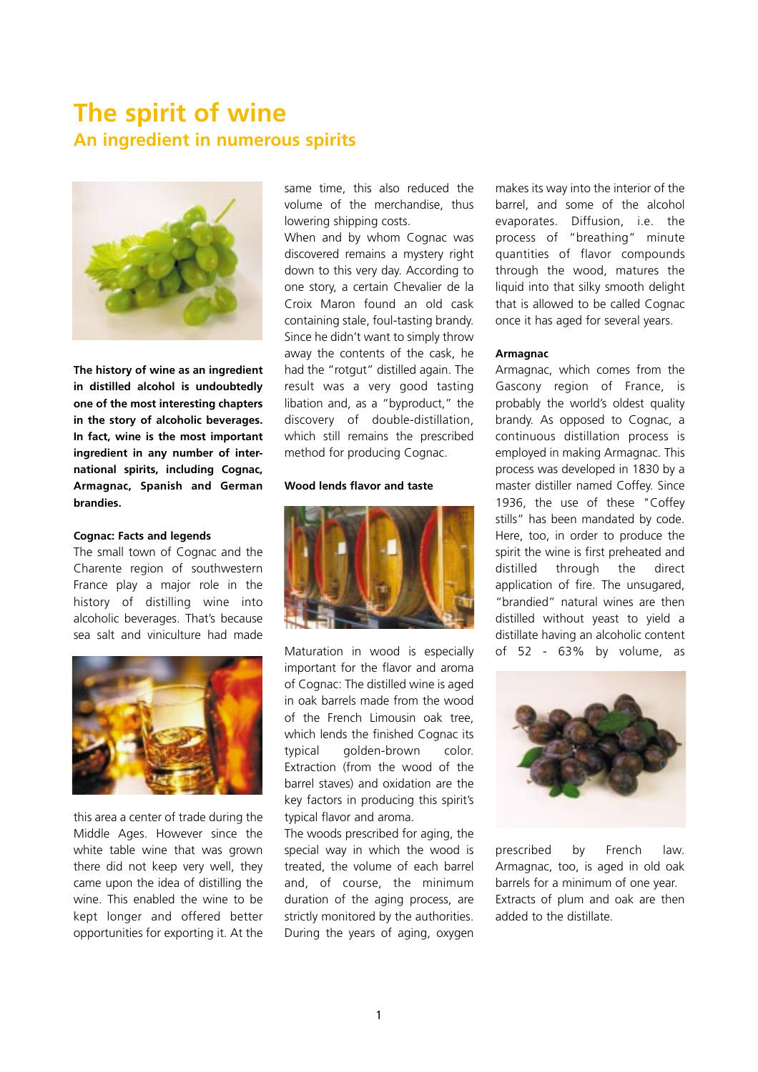# **The spirit of wine An ingredient in numerous spirits**



**The history of wine as an ingredient in distilled alcohol is undoubtedly one of the most interesting chapters in the story of alcoholic beverages. In fact, wine is the most important ingredient in any number of international spirits, including Cognac, Armagnac, Spanish and German brandies.** 

### **Cognac: Facts and legends**

The small town of Cognac and the Charente region of southwestern France play a major role in the history of distilling wine into alcoholic beverages. That's because sea salt and viniculture had made



this area a center of trade during the Middle Ages. However since the white table wine that was grown there did not keep very well, they came upon the idea of distilling the wine. This enabled the wine to be kept longer and offered better opportunities for exporting it. At the

same time, this also reduced the volume of the merchandise, thus lowering shipping costs.

When and by whom Cognac was discovered remains a mystery right down to this very day. According to one story, a certain Chevalier de la Croix Maron found an old cask containing stale, foul-tasting brandy. Since he didn't want to simply throw away the contents of the cask, he had the "rotgut" distilled again. The result was a very good tasting libation and, as a "byproduct," the discovery of double-distillation, which still remains the prescribed method for producing Cognac.

#### **Wood lends flavor and taste**



Maturation in wood is especially important for the flavor and aroma of Cognac: The distilled wine is aged in oak barrels made from the wood of the French Limousin oak tree, which lends the finished Cognac its typical golden-brown color. Extraction (from the wood of the barrel staves) and oxidation are the key factors in producing this spirit's typical flavor and aroma.

The woods prescribed for aging, the special way in which the wood is treated, the volume of each barrel and, of course, the minimum duration of the aging process, are strictly monitored by the authorities. During the years of aging, oxygen makes its way into the interior of the barrel, and some of the alcohol evaporates. Diffusion, i.e. the process of "breathing" minute quantities of flavor compounds through the wood, matures the liquid into that silky smooth delight that is allowed to be called Cognac once it has aged for several years.

#### **Armagnac**

Armagnac, which comes from the Gascony region of France, is probably the world's oldest quality brandy. As opposed to Cognac, a continuous distillation process is employed in making Armagnac. This process was developed in 1830 by a master distiller named Coffey. Since 1936, the use of these "Coffey stills" has been mandated by code. Here, too, in order to produce the spirit the wine is first preheated and distilled through the direct application of fire. The unsugared, "brandied" natural wines are then distilled without yeast to yield a distillate having an alcoholic content of 52 - 63% by volume, as



prescribed by French law. Armagnac, too, is aged in old oak barrels for a minimum of one year. Extracts of plum and oak are then added to the distillate.